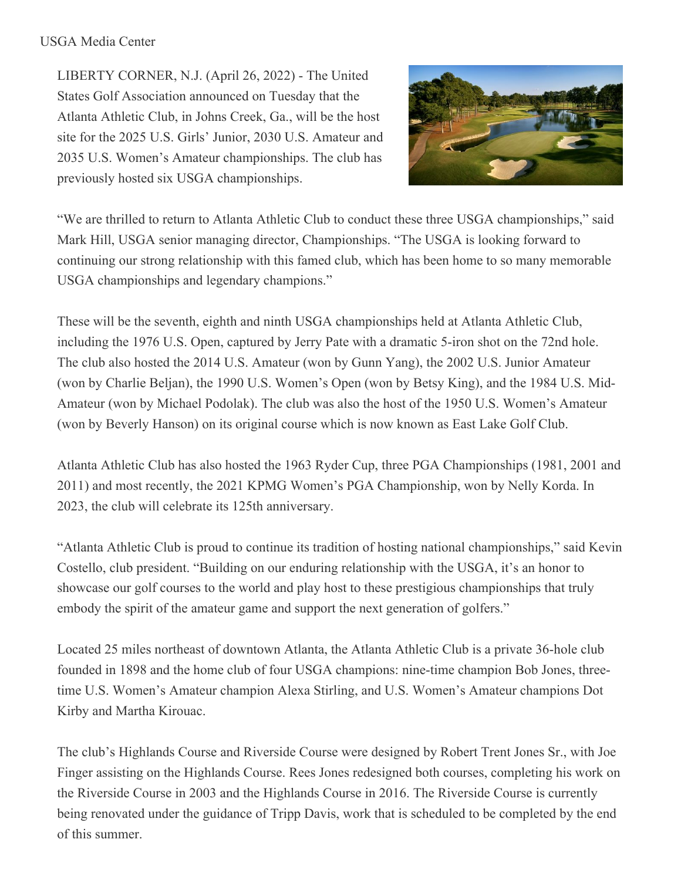## USGA Media Center

LIBERTY CORNER, N.J. (April 26, 2022) - The United States Golf Association announced on Tuesday that the Atlanta Athletic Club, in Johns Creek, Ga., will be the host site for the 2025 U.S. Girls' Junior, 2030 U.S. Amateur and 2035 U.S. Women's Amateur championships. The club has previously hosted six USGA championships.



"We are thrilled to return to Atlanta Athletic Club to conduct these three USGA championships," said Mark Hill, USGA senior managing director, Championships. "The USGA is looking forward to continuing our strong relationship with this famed club, which has been home to so many memorable USGA championships and legendary champions."

These will be the seventh, eighth and ninth USGA championships held at Atlanta Athletic Club, including the 1976 U.S. Open, captured by Jerry Pate with a dramatic 5-iron shot on the 72nd hole. The club also hosted the 2014 U.S. Amateur (won by Gunn Yang), the 2002 U.S. Junior Amateur (won by Charlie Beljan), the 1990 U.S. Women's Open (won by Betsy King), and the 1984 U.S. Mid-Amateur (won by Michael Podolak). The club was also the host of the 1950 U.S. Women's Amateur (won by Beverly Hanson) on its original course which is now known as East Lake Golf Club.

Atlanta Athletic Club has also hosted the 1963 Ryder Cup, three PGA Championships (1981, 2001 and 2011) and most recently, the 2021 KPMG Women's PGA Championship, won by Nelly Korda. In 2023, the club will celebrate its 125th anniversary.

"Atlanta Athletic Club is proud to continue its tradition of hosting national championships," said Kevin Costello, club president. "Building on our enduring relationship with the USGA, it's an honor to showcase our golf courses to the world and play host to these prestigious championships that truly embody the spirit of the amateur game and support the next generation of golfers."

Located 25 miles northeast of downtown Atlanta, the Atlanta Athletic Club is a private 36-hole club founded in 1898 and the home club of four USGA champions: nine-time champion Bob Jones, threetime U.S. Women's Amateur champion Alexa Stirling, and U.S. Women's Amateur champions Dot Kirby and Martha Kirouac.

The club's Highlands Course and Riverside Course were designed by Robert Trent Jones Sr., with Joe Finger assisting on the Highlands Course. Rees Jones redesigned both courses, completing his work on the Riverside Course in 2003 and the Highlands Course in 2016. The Riverside Course is currently being renovated under the guidance of Tripp Davis, work that is scheduled to be completed by the end of this summer.